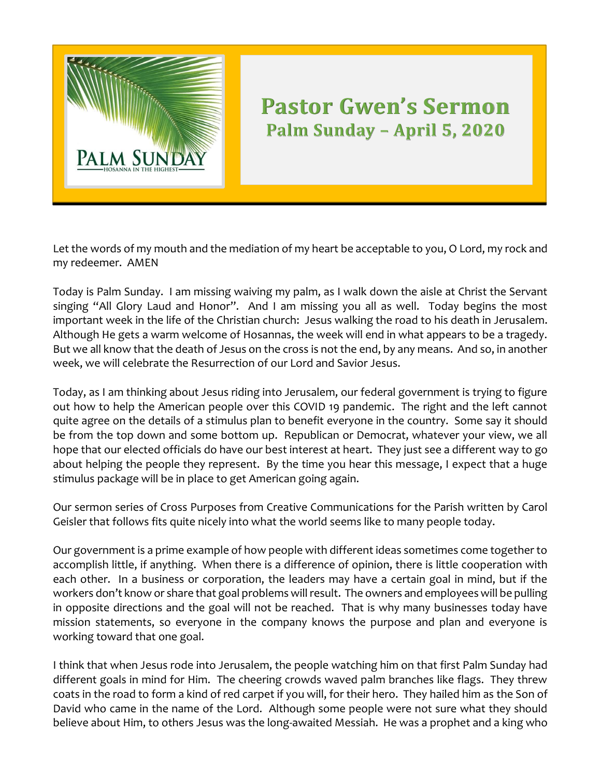

## **Pastor Gwen's Sermon Palm Sunday – April 5, 2020**

Let the words of my mouth and the mediation of my heart be acceptable to you, O Lord, my rock and my redeemer. AMEN

Today is Palm Sunday. I am missing waiving my palm, as I walk down the aisle at Christ the Servant singing "All Glory Laud and Honor". And I am missing you all as well. Today begins the most important week in the life of the Christian church: Jesus walking the road to his death in Jerusalem. Although He gets a warm welcome of Hosannas, the week will end in what appears to be a tragedy. But we all know that the death of Jesus on the cross is not the end, by any means. And so, in another week, we will celebrate the Resurrection of our Lord and Savior Jesus.

Today, as I am thinking about Jesus riding into Jerusalem, our federal government is trying to figure out how to help the American people over this COVID 19 pandemic. The right and the left cannot quite agree on the details of a stimulus plan to benefit everyone in the country. Some say it should be from the top down and some bottom up. Republican or Democrat, whatever your view, we all hope that our elected officials do have our best interest at heart. They just see a different way to go about helping the people they represent. By the time you hear this message, I expect that a huge stimulus package will be in place to get American going again.

Our sermon series of Cross Purposes from Creative Communications for the Parish written by Carol Geisler that follows fits quite nicely into what the world seems like to many people today.

Our government is a prime example of how people with different ideas sometimes come together to accomplish little, if anything. When there is a difference of opinion, there is little cooperation with each other. In a business or corporation, the leaders may have a certain goal in mind, but if the workers don't know or share that goal problems will result. The owners and employees will be pulling in opposite directions and the goal will not be reached. That is why many businesses today have mission statements, so everyone in the company knows the purpose and plan and everyone is working toward that one goal.

I think that when Jesus rode into Jerusalem, the people watching him on that first Palm Sunday had different goals in mind for Him. The cheering crowds waved palm branches like flags. They threw coats in the road to form a kind of red carpet if you will, for their hero. They hailed him as the Son of David who came in the name of the Lord. Although some people were not sure what they should believe about Him, to others Jesus was the long-awaited Messiah. He was a prophet and a king who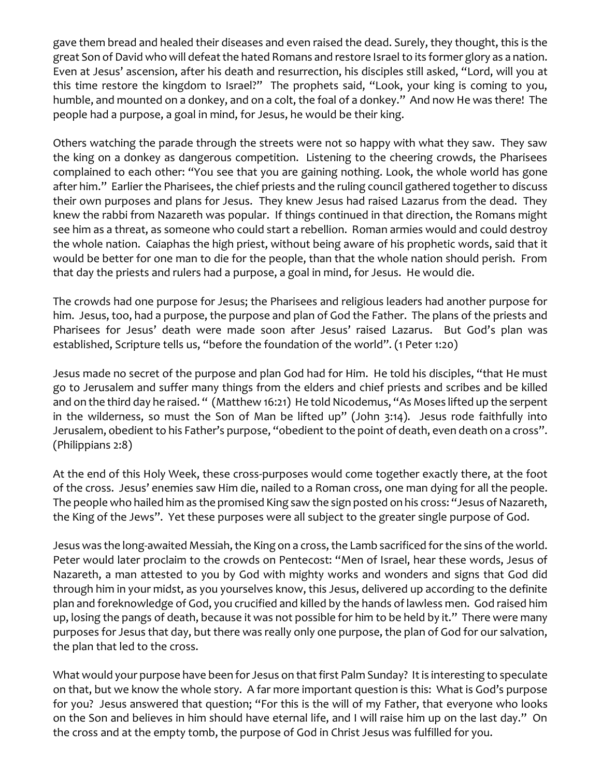gave them bread and healed their diseases and even raised the dead. Surely, they thought, this is the great Son of David who will defeat the hated Romans and restore Israel to its former glory as a nation. Even at Jesus' ascension, after his death and resurrection, his disciples still asked, "Lord, will you at this time restore the kingdom to Israel?" The prophets said, "Look, your king is coming to you, humble, and mounted on a donkey, and on a colt, the foal of a donkey." And now He was there! The people had a purpose, a goal in mind, for Jesus, he would be their king.

Others watching the parade through the streets were not so happy with what they saw. They saw the king on a donkey as dangerous competition. Listening to the cheering crowds, the Pharisees complained to each other: "You see that you are gaining nothing. Look, the whole world has gone after him." Earlier the Pharisees, the chief priests and the ruling council gathered together to discuss their own purposes and plans for Jesus. They knew Jesus had raised Lazarus from the dead. They knew the rabbi from Nazareth was popular. If things continued in that direction, the Romans might see him as a threat, as someone who could start a rebellion. Roman armies would and could destroy the whole nation. Caiaphas the high priest, without being aware of his prophetic words, said that it would be better for one man to die for the people, than that the whole nation should perish. From that day the priests and rulers had a purpose, a goal in mind, for Jesus. He would die.

The crowds had one purpose for Jesus; the Pharisees and religious leaders had another purpose for him. Jesus, too, had a purpose, the purpose and plan of God the Father. The plans of the priests and Pharisees for Jesus' death were made soon after Jesus' raised Lazarus. But God's plan was established, Scripture tells us, "before the foundation of the world". (1 Peter 1:20)

Jesus made no secret of the purpose and plan God had for Him. He told his disciples, "that He must go to Jerusalem and suffer many things from the elders and chief priests and scribes and be killed and on the third day he raised. " (Matthew 16:21) He told Nicodemus, "As Moses lifted up the serpent in the wilderness, so must the Son of Man be lifted up" (John 3:14). Jesus rode faithfully into Jerusalem, obedient to his Father's purpose, "obedient to the point of death, even death on a cross". (Philippians 2:8)

At the end of this Holy Week, these cross-purposes would come together exactly there, at the foot of the cross. Jesus' enemies saw Him die, nailed to a Roman cross, one man dying for all the people. The people who hailed him as the promised King saw the sign posted on his cross: "Jesus of Nazareth, the King of the Jews". Yet these purposes were all subject to the greater single purpose of God.

Jesus was the long-awaited Messiah, the King on a cross, the Lamb sacrificed for the sins of the world. Peter would later proclaim to the crowds on Pentecost: "Men of Israel, hear these words, Jesus of Nazareth, a man attested to you by God with mighty works and wonders and signs that God did through him in your midst, as you yourselves know, this Jesus, delivered up according to the definite plan and foreknowledge of God, you crucified and killed by the hands of lawless men. God raised him up, losing the pangs of death, because it was not possible for him to be held by it." There were many purposes for Jesus that day, but there was really only one purpose, the plan of God for our salvation, the plan that led to the cross.

What would your purpose have been for Jesus on that first Palm Sunday? It is interesting to speculate on that, but we know the whole story. A far more important question is this: What is God's purpose for you? Jesus answered that question; "For this is the will of my Father, that everyone who looks on the Son and believes in him should have eternal life, and I will raise him up on the last day." On the cross and at the empty tomb, the purpose of God in Christ Jesus was fulfilled for you.